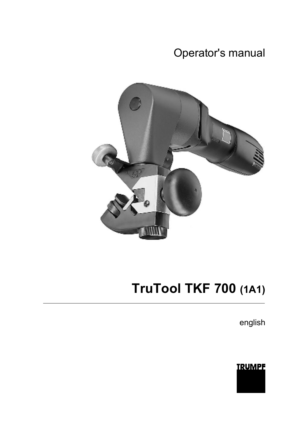# Operator's manual



# **TruTool TKF 700 (1A1)**

english

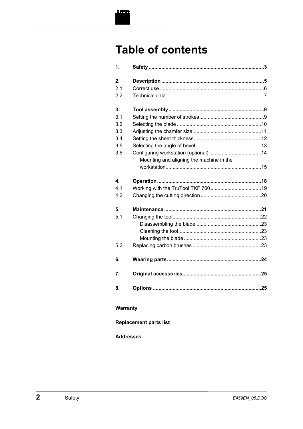

# **Table of contents**

| 1.  |                                          |  |
|-----|------------------------------------------|--|
| 2.  |                                          |  |
| 21  |                                          |  |
| 2.2 |                                          |  |
| 3.  |                                          |  |
| 3.1 |                                          |  |
| 3.2 |                                          |  |
| 3.3 |                                          |  |
| 3.4 |                                          |  |
| 3.5 |                                          |  |
| 3.6 | Mounting and aligning the machine in the |  |
|     |                                          |  |
| 4.  |                                          |  |
| 4.1 |                                          |  |
| 4.2 |                                          |  |
| 5.  |                                          |  |
| 5.1 |                                          |  |
|     |                                          |  |
|     |                                          |  |
|     |                                          |  |
| 5.2 |                                          |  |
| 6.  |                                          |  |
| 7.  |                                          |  |
| 8.  |                                          |  |

### Warranty

### **Replacement parts list**

#### **Addresses**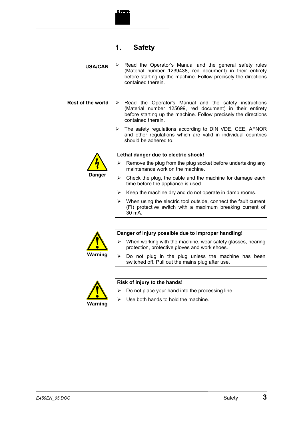

### **1. Safety**

 $\triangleright$  Read the Operator's Manual and the general safety rules (Material number 1239438, red document) in their entirety before starting up the machine. Follow precisely the directions contained therein. **USA/CAN** 

Read the Operator's Manual and the safety instructions (Material number 125699, red document) in their entirety before starting up the machine. Follow precisely the directions contained therein. **Rest of the world** 

> $\triangleright$  The safety regulations according to DIN VDE, CEE, AFNOR and other regulations which are valid in individual countries should be adhered to.



#### **Lethal danger due to electric shock!**

- $\triangleright$  Remove the plug from the plug socket before undertaking any maintenance work on the machine.
- $\triangleright$  Check the plug, the cable and the machine for damage each time before the appliance is used.
- $\triangleright$  Keep the machine dry and do not operate in damp rooms.
- When using the electric tool outside, connect the fault current (FI) protective switch with a maximum breaking current of 30 mA.



#### **Danger of injury possible due to improper handling!**

- $\triangleright$  When working with the machine, wear safety glasses, hearing protection, protective gloves and work shoes.
- $\triangleright$  Do not plug in the plug unless the machine has been switched off. Pull out the mains plug after use.



#### **Risk of injury to the hands!**

- $\triangleright$  Do not place your hand into the processing line.
- $\triangleright$  Use both hands to hold the machine.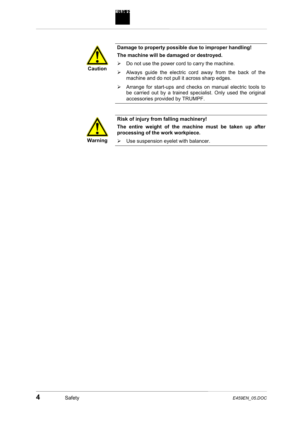

**Damage to property possible due to improper handling! The machine will be damaged or destroyed.** 

- $\triangleright$  Do not use the power cord to carry the machine.
- $\triangleright$  Always guide the electric cord away from the back of the machine and do not pull it across sharp edges.
- $\triangleright$  Arrange for start-ups and checks on manual electric tools to be carried out by a trained specialist. Only used the original accessories provided by TRUMPF.



#### **Risk of injury from falling machinery!**

**The entire weight of the machine must be taken up after processing of the work workpiece.** 

 $\triangleright$  Use suspension eyelet with balancer.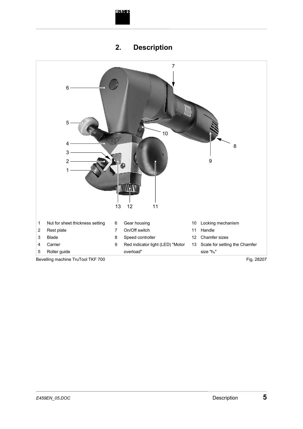



# **2. Description**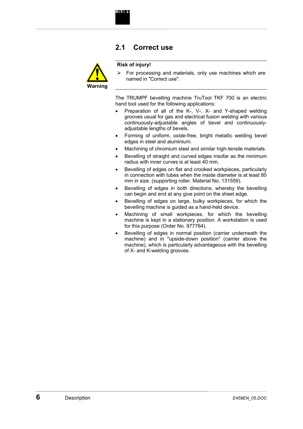



#### **Risk of injury!**

**IRUMPI** 

 $\triangleright$  For processing and materials, only use machines which are named in "Correct use".

The TRUMPF bevelling machine TruTool TKF 700 is an electric hand tool used for the following applications:

- Preparation of all of the K-, V-, X- and Y-shaped welding grooves usual for gas and electrical fusion welding with various continuously-adjustable angles of bevel and continuouslyadjustable lengths of bevels.
- Forming of uniform, oxide-free, bright metallic welding bevel edges in steel and aluminium.
- Machining of chromium steel and similar high-tensile materials.
- Bevelling of straight and curved edges insofar as the minimum radius with inner curves is at least 40 mm.
- Bevelling of edges on flat and crooked workpieces, particularly in connection with tubes when the inside diameter is at least 80 mm in size. (supporting roller, Material No. 131559).
- Bevelling of edges in both directions, whereby the bevelling can begin and end at any give point on the sheet edge.
- Bevelling of edges on large, bulky workpieces, for which the bevelling machine is guided as a hand-held device.
- Machining of small workpieces, for which the bevelling machine is kept in a stationary position. A workstation is used for this purpose (Order No. 977764).
- Bevelling of edges in normal position (carrier underneath the machine) and in "upside-down position" (carrier above the machine), which is particularly advantageous with the bevelling of X- and K-welding grooves.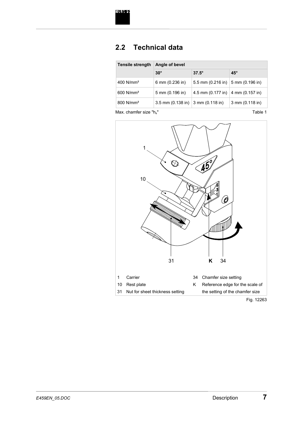

# **2.2 Technical data**

| $30^\circ$      |                   |                                                                                            |
|-----------------|-------------------|--------------------------------------------------------------------------------------------|
|                 | $37.5^\circ$      | $45^\circ$                                                                                 |
| 6 mm (0.236 in) |                   |                                                                                            |
| 5 mm (0.196 in) | 4.5 mm (0.177 in) | 4 mm $(0.157 \text{ in})$                                                                  |
|                 |                   | $3$ mm $(0.118$ in)                                                                        |
|                 |                   | 5.5 mm $(0.216 \text{ in})$ 5 mm $(0.196 \text{ in})$<br>3.5 mm (0.138 in) 3 mm (0.118 in) |

Max. chamfer size "h<sub>s</sub>"

Table 1



Fig. 12263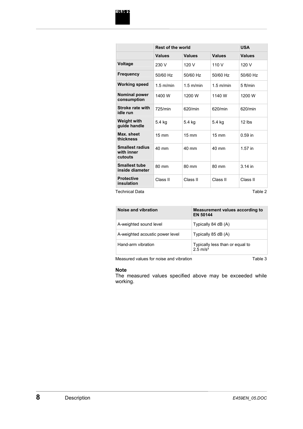|                                                 | <b>Rest of the world</b> |                 |                 | <b>USA</b>    |
|-------------------------------------------------|--------------------------|-----------------|-----------------|---------------|
|                                                 | <b>Values</b>            | <b>Values</b>   | <b>Values</b>   | <b>Values</b> |
| <b>Voltage</b>                                  | 230 V                    | 120 V           | 110 V           | 120 V         |
| Frequency                                       | 50/60 Hz                 | 50/60 Hz        | 50/60 Hz        | 50/60 Hz      |
| <b>Working speed</b>                            | $1.5$ m/min              | $1.5$ m/min     | $1.5$ m/min     | $5$ ft/min    |
| <b>Nominal power</b><br>consumption             | 1400 W                   | 1200 W          | 1140 W          | 1200 W        |
| Stroke rate with<br>idle run                    | 725/min                  | 620/min         | 620/min         | 620/min       |
| <b>Weight with</b><br>guide handle              | 5.4 kg                   | 5.4 kg          | 5.4 kg          | $12$ lbs      |
| Max. sheet<br>thickness                         | $15 \text{ mm}$          | $15 \text{ mm}$ | $15 \text{ mm}$ | $0.59$ in     |
| <b>Smallest radius</b><br>with inner<br>cutouts | 40 mm                    | $40 \text{ mm}$ | 40 mm           | $1.57$ in     |
| <b>Smallest tube</b><br>inside diameter         | 80 mm                    | 80 mm           | 80 mm           | $3.14$ in     |
| <b>Protective</b><br>insulation                 | Class II                 | Class II        | Class II        | Class II      |

Technical Data

Table 2

| Noise and vibration             | Measurement values according to<br><b>EN 50144</b>     |
|---------------------------------|--------------------------------------------------------|
| A-weighted sound level          | Typically 84 dB (A)                                    |
| A-weighted acoustic power level | Typically 85 dB (A)                                    |
| Hand-arm vibration              | Typically less than or equal to<br>$2.5 \text{ m/s}^2$ |

Measured values for noise and vibration

Table 3

#### **Note**

The measured values specified above may be exceeded while working.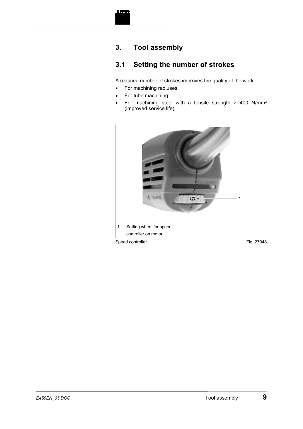

# **3. Tool assembly**

# **3.1 Setting the number of strokes**

A reduced number of strokes improves the quality of the work

- For machining radiuses.
- For tube machining.
- For machining steel with a tensile strength > 400 N/mm² (improved service life).

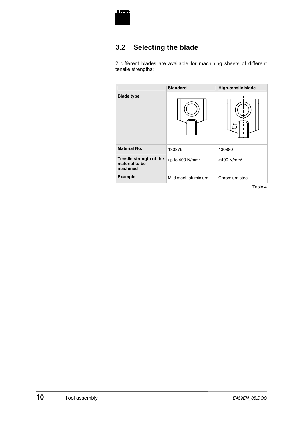

# **3.2 Selecting the blade**

2 different blades are available for machining sheets of different tensile strengths:

|                                                       | <b>Standard</b>             | <b>High-tensile blade</b> |
|-------------------------------------------------------|-----------------------------|---------------------------|
| <b>Blade type</b>                                     |                             |                           |
| <b>Material No.</b>                                   | 130879                      | 130880                    |
| Tensile strength of the<br>material to be<br>machined | up to 400 N/mm <sup>2</sup> | $>400$ N/mm <sup>2</sup>  |
| <b>Example</b>                                        | Mild steel, aluminium       | Chromium steel            |

Table 4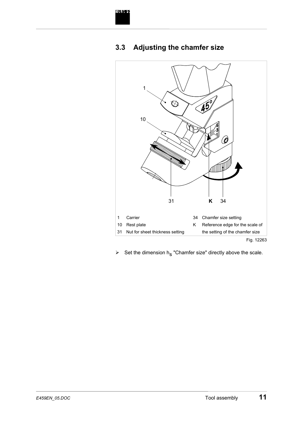





 $\triangleright$  Set the dimension h<sub>s</sub> "Chamfer size" directly above the scale.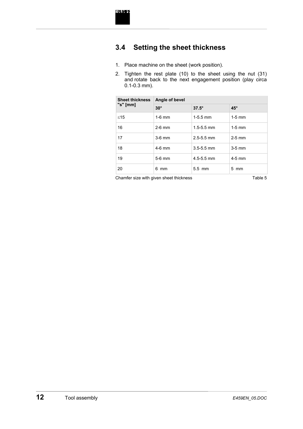

# **3.4 Setting the sheet thickness**

- 1. Place machine on the sheet (work position).
- 2. Tighten the rest plate (10) to the sheet using the nut (31) and rotate back to the next engagement position (play circa 0.1-0.3 mm).

| <b>Sheet thickness</b> | Angle of bevel |                |                |  |
|------------------------|----------------|----------------|----------------|--|
| "s" [mm]               | $30^\circ$     | $37.5^\circ$   | $45^\circ$     |  |
| $≤15$                  | $1-6$ mm       | $1-5.5$ mm     | $1-5$ mm       |  |
| 16                     | $2-6$ mm       | $1.5 - 5.5$ mm | $1-5$ mm       |  |
| 17                     | $3-6$ mm       | $2.5 - 5.5$ mm | $2-5$ mm       |  |
| 18                     | $4-6$ mm       | $3.5 - 5.5$ mm | $3-5$ mm       |  |
| 19                     | $5-6$ mm       | $4.5 - 5.5$ mm | $4-5$ mm       |  |
| 20                     | 6 mm           | $5.5$ mm       | $5 \text{ mm}$ |  |

Chamfer size with given sheet thickness Table 5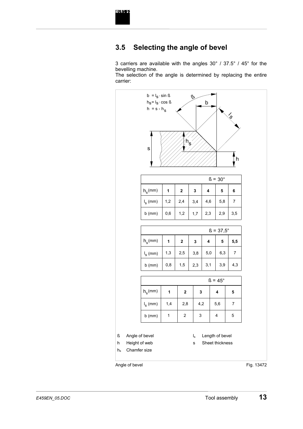

### **3.5 Selecting the angle of bevel**

3 carriers are available with the angles 30° / 37.5° / 45° for the bevelling machine.

The selection of the angle is determined by replacing the entire carrier:

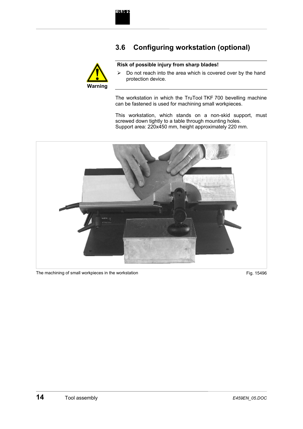# **3.6 Configuring workstation (optional)**



#### **Risk of possible injury from sharp blades!**

 $\triangleright$  Do not reach into the area which is covered over by the hand protection device.

The workstation in which the TruTool TKF 700 bevelling machine can be fastened is used for machining small workpieces.

This workstation, which stands on a non-skid support, must screwed down tightly to a table through mounting holes. Support area: 220x450 mm, height approximately 220 mm.



The machining of small workpieces in the workstation Fig. 15496 and The machining of small workpieces in the workstation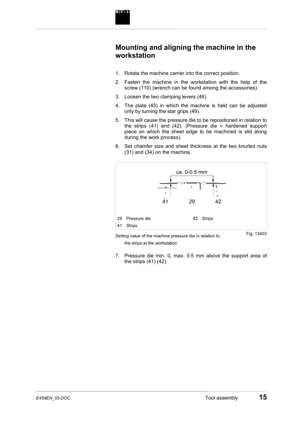

### **Mounting and aligning the machine in the workstation**

- 1. Rotate the machine carrier into the correct position.
- 2. Fasten the machine in the workstation with the help of the screw (110) (wrench can be found among the accessories).
- 3. Loosen the two clamping levers (46).
- 4. The plate (45) in which the machine is held can be adjusted only by turning the star grips (49).
- 5. This will cause the pressure die to be repositioned in relation to the strips (41) and (42). (Pressure die = hardened support piece on which the sheet edge to be machined is slid along during the work process).
- 6. Set chamfer size and sheet thickness at the two knurled nuts (31) and (34) on the machine.



Setting value of the machine pressure die in relation to the strips at the workstation

Fig. 13403

7. Pressure die min. 0, max. 0.5 mm above the support area of the strips (41) (42).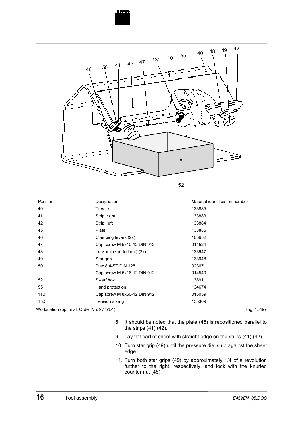# **TRUMPT**

| 46                                      | 55<br>130 110<br>47<br>45<br>41<br>50<br>52 | 42<br>49<br>48<br>40           |
|-----------------------------------------|---------------------------------------------|--------------------------------|
| Position                                | Designation                                 | Material identification number |
| 40                                      | Trestle                                     | 133885                         |
| 41                                      | Strip, right                                | 133883                         |
| 42                                      | Strip, left                                 | 133884                         |
| 45                                      | Plate                                       | 133886                         |
| 46                                      | Clamping levers (2x)                        | 105652                         |
| 47                                      | Cap screw M 5x10-12 DIN 912                 | 014524                         |
| 48                                      | Lock nut (knurled nut) (2x)                 | 133947                         |
| 49                                      | Star grip                                   | 133948                         |
| 50                                      | Disc 8.4-ST DIN 125                         | 023671                         |
|                                         | Cap screw M 5x16-12 DIN 912                 | 014540                         |
| 52                                      | Swarf box                                   | 138911                         |
| 55                                      | Hand protection                             | 134674                         |
| 110                                     | Cap screw M 8x60-12 DIN 912                 | 015059                         |
| 130                                     | Tension spring                              | 135309                         |
| Warkstotion (optional Order No. 077764) |                                             | $\Gamma$ : $\sim$ $4E407$      |

Workstation (optional, Order No. 977764)

Fig. 15497

- 8. It should be noted that the plate (45) is repositioned parallel to the strips (41) (42).
- 9. Lay flat part of sheet with straight edge on the strips (41) (42).
- 10. Turn star grip (49) until the pressure die is up against the sheet edge.
- 11. Turn both star grips (49) by approximately 1/4 of a revolution further to the right, respectively, and lock with the knurled counter nut (48).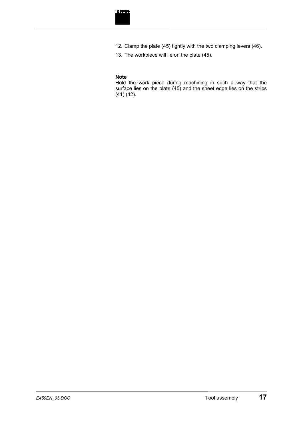- 12. Clamp the plate (45) tightly with the two clamping levers (46).
- 13. The workpiece will lie on the plate (45).

#### **Note**

Hold the work piece during machining in such a way that the surface lies on the plate (45) and the sheet edge lies on the strips (41) (42).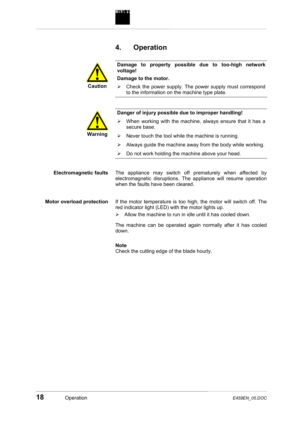

### **4. Operation**



**Damage to property possible due to too-high network voltage!** 

**Damage to the motor.** 

 $\triangleright$  Check the power supply. The power supply must correspond to the information on the machine type plate.



#### **Danger of injury possible due to improper handling!**

- $\triangleright$  When working with the machine, always ensure that it has a secure base.
- $\triangleright$  Never touch the tool while the machine is running.
- $\triangleright$  Always guide the machine away from the body while working.
- $\triangleright$  Do not work holding the machine above your head.

| <b>Electromagnetic faults</b> | The appliance may switch off prematurely when affected by        |
|-------------------------------|------------------------------------------------------------------|
|                               | electromagnetic disruptions. The appliance will resume operation |
|                               | when the faults have been cleared.                               |
|                               |                                                                  |

#### If the motor temperature is too high, the motor will switch off. The red indicator light (LED) with the motor lights up. **Motor overload protection**

 $\triangleright$  Allow the machine to run in idle until it has cooled down.

The machine can be operated again normally after it has cooled down.

#### **Note**

Check the cutting edge of the blade hourly.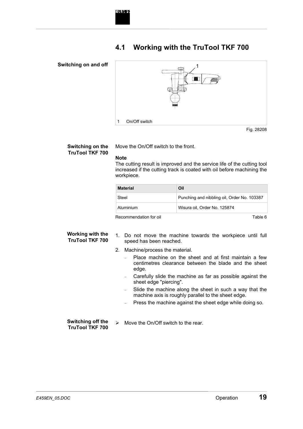

# **4.1 Working with the TruTool TKF 700**

#### **Switching on and off**



**Switching on the TruTool TKF 700** 

Move the On/Off switch to the front.

#### **Note**

The cutting result is improved and the service life of the cutting tool increased if the cutting track is coated with oil before machining the workpiece.

| Material                                                                                                                                                                                                                                             | Oil                                         |  |
|------------------------------------------------------------------------------------------------------------------------------------------------------------------------------------------------------------------------------------------------------|---------------------------------------------|--|
| Steel                                                                                                                                                                                                                                                | Punching and nibbling oil, Order No. 103387 |  |
| Aluminium                                                                                                                                                                                                                                            | Wisura oil. Order No. 125874                |  |
| Designation of the Committee of the Committee of the Committee of the Committee of the Committee of the Committee of the Committee of the Committee of the Committee of the Committee of the Committee of the Committee of the<br><b>ㅜ - ㄴ ㄴ - ⌒</b> |                                             |  |

Recommendation for oil

Table 6

#### **Working with the TruTool TKF 700**

- 1. Do not move the machine towards the workpiece until full speed has been reached.
- 2. Machine/process the material.
	- Place machine on the sheet and at first maintain a few centimetres clearance between the blade and the sheet edge.
	- Carefully slide the machine as far as possible against the sheet edge "piercing".
	- Slide the machine along the sheet in such a way that the machine axis is roughly parallel to the sheet edge.
	- Press the machine against the sheet edge while doing so.

#### **Switching off the TruTool TKF 700**

 $\triangleright$  Move the On/Off switch to the rear.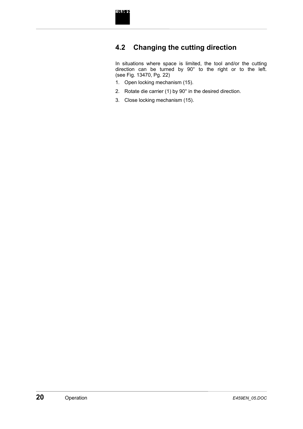

# **4.2 Changing the cutting direction**

In situations where space is limited, the tool and/or the cutting direction can be turned by 90° to the right or to the left. (see Fig. 13470, Pg. 22)

- 1. Open locking mechanism (15).
- 2. Rotate die carrier (1) by 90° in the desired direction.
- 3. Close locking mechanism (15).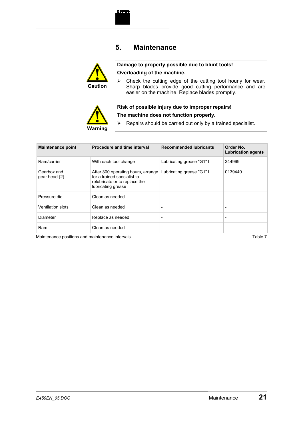

### **5. Maintenance**



#### **Damage to property possible due to blunt tools! Overloading of the machine.**

 $\triangleright$  Check the cutting edge of the cutting tool hourly for wear. Sharp blades provide good cutting performance and are easier on the machine. Replace blades promptly.



#### **Risk of possible injury due to improper repairs! The machine does not function properly.**

 $\triangleright$  Repairs should be carried out only by a trained specialist.

| <b>Maintenance point</b>     | Procedure and time interval                                                                                              | <b>Recommended lubricants</b> | Order No.<br><b>Lubrication agents</b> |
|------------------------------|--------------------------------------------------------------------------------------------------------------------------|-------------------------------|----------------------------------------|
| Ram/carrier                  | With each tool change                                                                                                    | Lubricating grease "G1" I     | 344969                                 |
| Gearbox and<br>gear head (2) | After 300 operating hours, arrange<br>for a trained specialist to<br>relubricate or to replace the<br>lubricating grease | Lubricating grease "G1" I     | 0139440                                |
| Pressure die                 | Clean as needed                                                                                                          |                               |                                        |
| <b>Ventilation slots</b>     | Clean as needed                                                                                                          | $\overline{\phantom{0}}$      | $\overline{\phantom{0}}$               |
| Diameter                     | Replace as needed                                                                                                        | $\overline{\phantom{a}}$      | $\overline{\phantom{a}}$               |
| Ram                          | Clean as needed                                                                                                          |                               |                                        |

Maintenance positions and maintenance intervals **Table 7** and the state of the state 7 and 7 able 7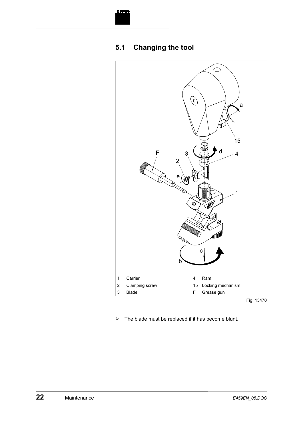

# **5.1 Changing the tool**



Fig. 13470

 $\triangleright$  The blade must be replaced if it has become blunt.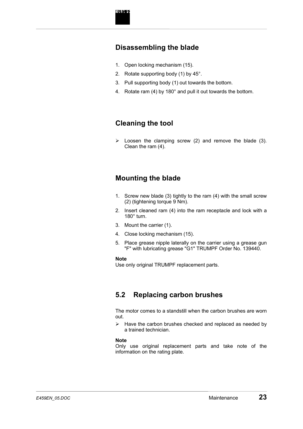### **Disassembling the blade**

- 1. Open locking mechanism (15).
- 2. Rotate supporting body (1) by 45°.
- 3. Pull supporting body (1) out towards the bottom.
- 4. Rotate ram (4) by 180° and pull it out towards the bottom.

# **Cleaning the tool**

 $\triangleright$  Loosen the clamping screw (2) and remove the blade (3). Clean the ram (4).

# **Mounting the blade**

- 1. Screw new blade (3) tightly to the ram (4) with the small screw (2) (tightening torque 9 Nm).
- 2. Insert cleaned ram (4) into the ram receptacle and lock with a 180° turn.
- 3. Mount the carrier (1).
- 4. Close locking mechanism (15).
- 5. Place grease nipple laterally on the carrier using a grease gun "F" with lubricating grease "G1" TRUMPF Order No. 139440.

#### **Note**

Use only original TRUMPF replacement parts.

# **5.2 Replacing carbon brushes**

The motor comes to a standstill when the carbon brushes are worn out.

 $\triangleright$  Have the carbon brushes checked and replaced as needed by a trained technician.

#### **Note**

Only use original replacement parts and take note of the information on the rating plate.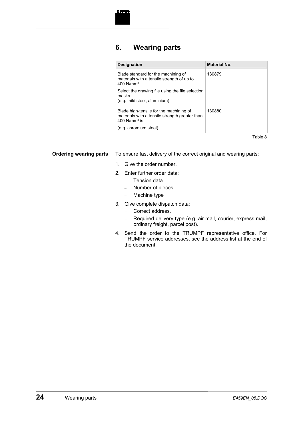# **6. Wearing parts**

| <b>Designation</b>                                                                                                      | Material No. |
|-------------------------------------------------------------------------------------------------------------------------|--------------|
| Blade standard for the machining of<br>materials with a tensile strength of up to<br>$400$ N/mm <sup>2</sup>            | 130879       |
| Select the drawing file using the file selection<br>masks.<br>(e.g. mild steel, aluminium)                              |              |
| Blade high-tensile for the machining of<br>materials with a tensile strength greater than<br>$400$ N/mm <sup>2</sup> is | 130880       |
| (e.g. chromium steel)                                                                                                   |              |

Table 8

**Ordering wearing parts** 

To ensure fast delivery of the correct original and wearing parts:

- 1. Give the order number.
- 2. Enter further order data:
	- Tension data
	- Number of pieces
	- Machine type
- 3. Give complete dispatch data:
	- Correct address.
	- Required delivery type (e.g. air mail, courier, express mail, ordinary freight, parcel post).
- 4. Send the order to the TRUMPF representative office. For TRUMPF service addresses, see the address list at the end of the document.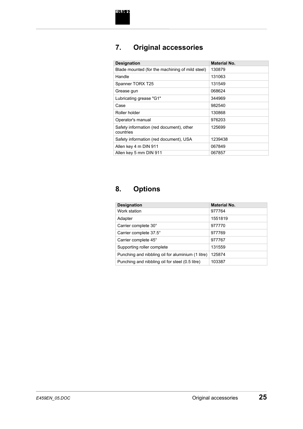# **7. Original accessories**

| <b>Designation</b>                                    | <b>Material No.</b> |
|-------------------------------------------------------|---------------------|
| Blade mounted (for the machining of mild steel)       | 130879              |
| Handle                                                | 131063              |
| Spanner TORX T25                                      | 131549              |
| Grease gun                                            | 068624              |
| Lubricating grease "G1"                               | 344969              |
| Case                                                  | 982540              |
| Roller holder                                         | 130868              |
| Operator's manual                                     | 976203              |
| Safety information (red document), other<br>countries | 125699              |
| Safety information (red document), USA                | 1239438             |
| Allen key 4 m DIN 911                                 | 067849              |
| Allen key 5 mm DIN 911                                | 067857              |

# **8. Options**

| <b>Designation</b>                                | <b>Material No.</b> |
|---------------------------------------------------|---------------------|
| Work station                                      | 977764              |
| Adapter                                           | 1551819             |
| Carrier complete 30°                              | 977770              |
| Carrier complete 37.5°                            | 977769              |
| Carrier complete 45°                              | 977767              |
| Supporting roller complete                        | 131559              |
| Punching and nibbling oil for aluminium (1 litre) | 125874              |
| Punching and nibbling oil for steel (0.5 litre)   | 103387              |